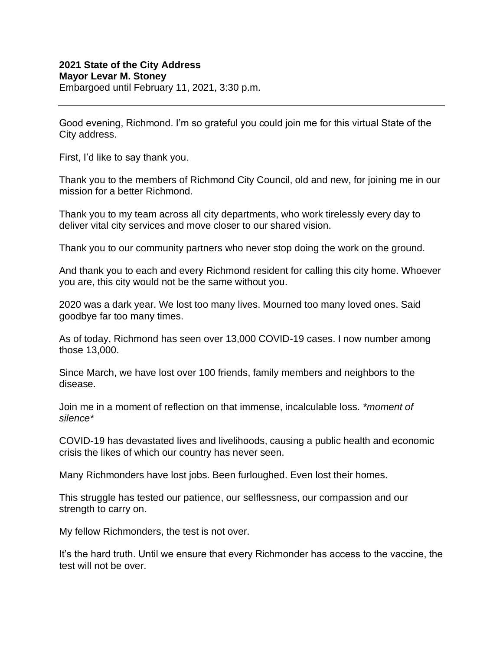## **2021 State of the City Address Mayor Levar M. Stoney**

Embargoed until February 11, 2021, 3:30 p.m.

Good evening, Richmond. I'm so grateful you could join me for this virtual State of the City address.

First, I'd like to say thank you.

Thank you to the members of Richmond City Council, old and new, for joining me in our mission for a better Richmond.

Thank you to my team across all city departments, who work tirelessly every day to deliver vital city services and move closer to our shared vision.

Thank you to our community partners who never stop doing the work on the ground.

And thank you to each and every Richmond resident for calling this city home. Whoever you are, this city would not be the same without you.

2020 was a dark year. We lost too many lives. Mourned too many loved ones. Said goodbye far too many times.

As of today, Richmond has seen over 13,000 COVID-19 cases. I now number among those 13,000.

Since March, we have lost over 100 friends, family members and neighbors to the disease.

Join me in a moment of reflection on that immense, incalculable loss. *\*moment of silence\**

COVID-19 has devastated lives and livelihoods, causing a public health and economic crisis the likes of which our country has never seen.

Many Richmonders have lost jobs. Been furloughed. Even lost their homes.

This struggle has tested our patience, our selflessness, our compassion and our strength to carry on.

My fellow Richmonders, the test is not over.

It's the hard truth. Until we ensure that every Richmonder has access to the vaccine, the test will not be over.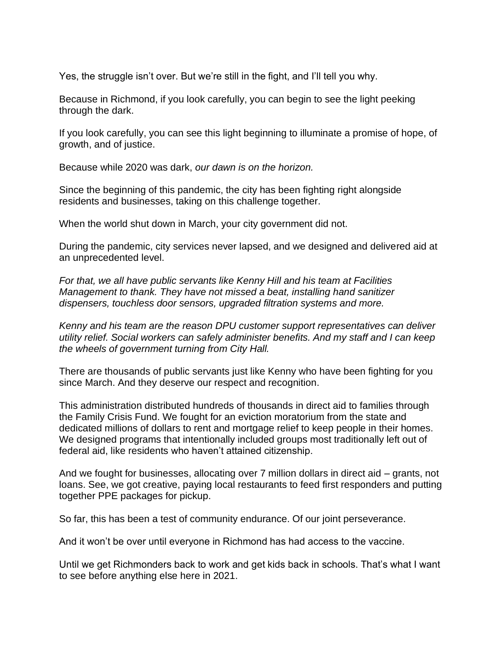Yes, the struggle isn't over. But we're still in the fight, and I'll tell you why.

Because in Richmond, if you look carefully, you can begin to see the light peeking through the dark.

If you look carefully, you can see this light beginning to illuminate a promise of hope, of growth, and of justice.

Because while 2020 was dark, *our dawn is on the horizon.*

Since the beginning of this pandemic, the city has been fighting right alongside residents and businesses, taking on this challenge together.

When the world shut down in March, your city government did not.

During the pandemic, city services never lapsed, and we designed and delivered aid at an unprecedented level.

*For that, we all have public servants like Kenny Hill and his team at Facilities Management to thank. They have not missed a beat, installing hand sanitizer dispensers, touchless door sensors, upgraded filtration systems and more.*

*Kenny and his team are the reason DPU customer support representatives can deliver utility relief. Social workers can safely administer benefits. And my staff and I can keep the wheels of government turning from City Hall.*

There are thousands of public servants just like Kenny who have been fighting for you since March. And they deserve our respect and recognition.

This administration distributed hundreds of thousands in direct aid to families through the Family Crisis Fund. We fought for an eviction moratorium from the state and dedicated millions of dollars to rent and mortgage relief to keep people in their homes. We designed programs that intentionally included groups most traditionally left out of federal aid, like residents who haven't attained citizenship.

And we fought for businesses, allocating over 7 million dollars in direct aid – grants, not loans. See, we got creative, paying local restaurants to feed first responders and putting together PPE packages for pickup.

So far, this has been a test of community endurance. Of our joint perseverance.

And it won't be over until everyone in Richmond has had access to the vaccine.

Until we get Richmonders back to work and get kids back in schools. That's what I want to see before anything else here in 2021.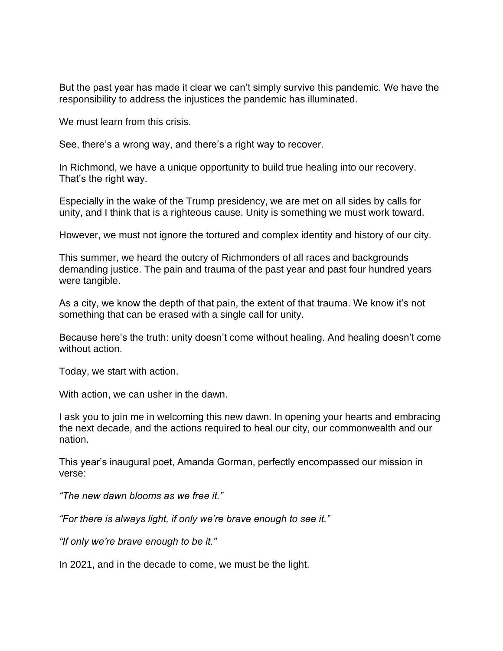But the past year has made it clear we can't simply survive this pandemic. We have the responsibility to address the injustices the pandemic has illuminated.

We must learn from this crisis.

See, there's a wrong way, and there's a right way to recover.

In Richmond, we have a unique opportunity to build true healing into our recovery. That's the right way.

Especially in the wake of the Trump presidency, we are met on all sides by calls for unity, and I think that is a righteous cause. Unity is something we must work toward.

However, we must not ignore the tortured and complex identity and history of our city.

This summer, we heard the outcry of Richmonders of all races and backgrounds demanding justice. The pain and trauma of the past year and past four hundred years were tangible.

As a city, we know the depth of that pain, the extent of that trauma. We know it's not something that can be erased with a single call for unity.

Because here's the truth: unity doesn't come without healing. And healing doesn't come without action.

Today, we start with action.

With action, we can usher in the dawn.

I ask you to join me in welcoming this new dawn. In opening your hearts and embracing the next decade, and the actions required to heal our city, our commonwealth and our nation.

This year's inaugural poet, Amanda Gorman, perfectly encompassed our mission in verse:

*"The new dawn blooms as we free it."*

*"For there is always light, if only we're brave enough to see it."*

*"If only we're brave enough to be it."*

In 2021, and in the decade to come, we must be the light.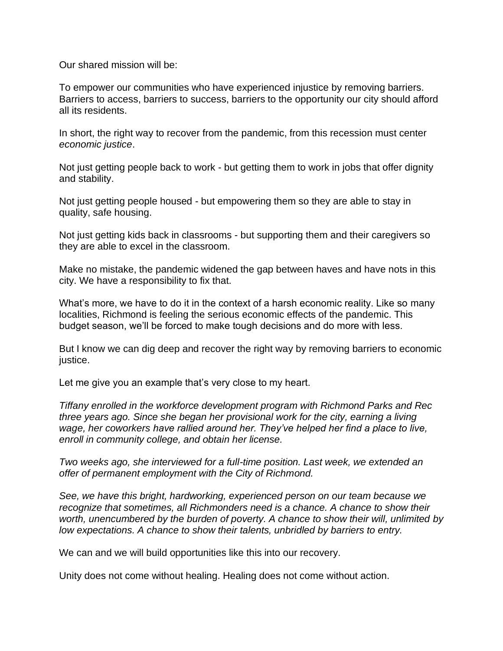Our shared mission will be:

To empower our communities who have experienced injustice by removing barriers. Barriers to access, barriers to success, barriers to the opportunity our city should afford all its residents.

In short, the right way to recover from the pandemic, from this recession must center *economic justice*.

Not just getting people back to work - but getting them to work in jobs that offer dignity and stability.

Not just getting people housed - but empowering them so they are able to stay in quality, safe housing.

Not just getting kids back in classrooms - but supporting them and their caregivers so they are able to excel in the classroom.

Make no mistake, the pandemic widened the gap between haves and have nots in this city. We have a responsibility to fix that.

What's more, we have to do it in the context of a harsh economic reality. Like so many localities, Richmond is feeling the serious economic effects of the pandemic. This budget season, we'll be forced to make tough decisions and do more with less.

But I know we can dig deep and recover the right way by removing barriers to economic justice.

Let me give you an example that's very close to my heart.

*Tiffany enrolled in the workforce development program with Richmond Parks and Rec three years ago. Since she began her provisional work for the city, earning a living wage, her coworkers have rallied around her. They've helped her find a place to live, enroll in community college, and obtain her license.*

*Two weeks ago, she interviewed for a full-time position. Last week, we extended an offer of permanent employment with the City of Richmond.*

*See, we have this bright, hardworking, experienced person on our team because we recognize that sometimes, all Richmonders need is a chance. A chance to show their worth, unencumbered by the burden of poverty. A chance to show their will, unlimited by low expectations. A chance to show their talents, unbridled by barriers to entry.*

We can and we will build opportunities like this into our recovery.

Unity does not come without healing. Healing does not come without action.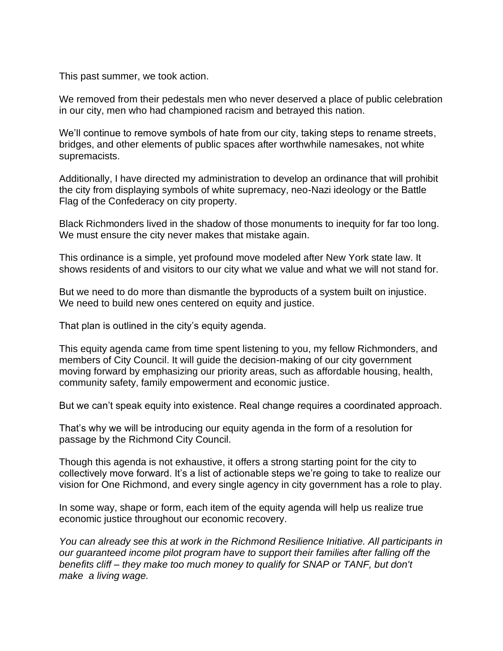This past summer, we took action.

We removed from their pedestals men who never deserved a place of public celebration in our city, men who had championed racism and betrayed this nation.

We'll continue to remove symbols of hate from our city, taking steps to rename streets, bridges, and other elements of public spaces after worthwhile namesakes, not white supremacists.

Additionally, I have directed my administration to develop an ordinance that will prohibit the city from displaying symbols of white supremacy, neo-Nazi ideology or the Battle Flag of the Confederacy on city property.

Black Richmonders lived in the shadow of those monuments to inequity for far too long. We must ensure the city never makes that mistake again.

This ordinance is a simple, yet profound move modeled after New York state law. It shows residents of and visitors to our city what we value and what we will not stand for.

But we need to do more than dismantle the byproducts of a system built on injustice. We need to build new ones centered on equity and justice.

That plan is outlined in the city's equity agenda.

This equity agenda came from time spent listening to you, my fellow Richmonders, and members of City Council. It will guide the decision-making of our city government moving forward by emphasizing our priority areas, such as affordable housing, health, community safety, family empowerment and economic justice.

But we can't speak equity into existence. Real change requires a coordinated approach.

That's why we will be introducing our equity agenda in the form of a resolution for passage by the Richmond City Council.

Though this agenda is not exhaustive, it offers a strong starting point for the city to collectively move forward. It's a list of actionable steps we're going to take to realize our vision for One Richmond, and every single agency in city government has a role to play.

In some way, shape or form, each item of the equity agenda will help us realize true economic justice throughout our economic recovery.

*You can already see this at work in the Richmond Resilience Initiative. All participants in our guaranteed income pilot program have to support their families after falling off the benefits cliff – they make too much money to qualify for SNAP or TANF, but don't make a living wage.*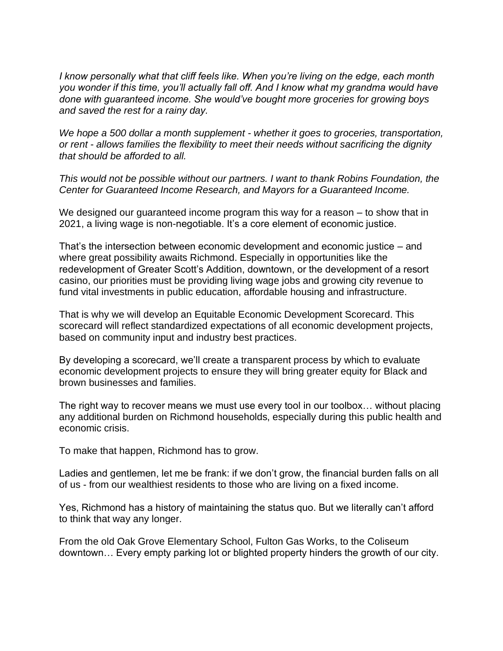*I know personally what that cliff feels like. When you're living on the edge, each month you wonder if this time, you'll actually fall off. And I know what my grandma would have done with guaranteed income. She would've bought more groceries for growing boys and saved the rest for a rainy day.*

*We hope a 500 dollar a month supplement - whether it goes to groceries, transportation, or rent - allows families the flexibility to meet their needs without sacrificing the dignity that should be afforded to all.*

*This would not be possible without our partners. I want to thank Robins Foundation, the Center for Guaranteed Income Research, and Mayors for a Guaranteed Income.*

We designed our guaranteed income program this way for a reason – to show that in 2021, a living wage is non-negotiable. It's a core element of economic justice.

That's the intersection between economic development and economic justice – and where great possibility awaits Richmond. Especially in opportunities like the redevelopment of Greater Scott's Addition, downtown, or the development of a resort casino, our priorities must be providing living wage jobs and growing city revenue to fund vital investments in public education, affordable housing and infrastructure.

That is why we will develop an Equitable Economic Development Scorecard. This scorecard will reflect standardized expectations of all economic development projects, based on community input and industry best practices.

By developing a scorecard, we'll create a transparent process by which to evaluate economic development projects to ensure they will bring greater equity for Black and brown businesses and families.

The right way to recover means we must use every tool in our toolbox… without placing any additional burden on Richmond households, especially during this public health and economic crisis.

To make that happen, Richmond has to grow.

Ladies and gentlemen, let me be frank: if we don't grow, the financial burden falls on all of us - from our wealthiest residents to those who are living on a fixed income.

Yes, Richmond has a history of maintaining the status quo. But we literally can't afford to think that way any longer.

From the old Oak Grove Elementary School, Fulton Gas Works, to the Coliseum downtown… Every empty parking lot or blighted property hinders the growth of our city.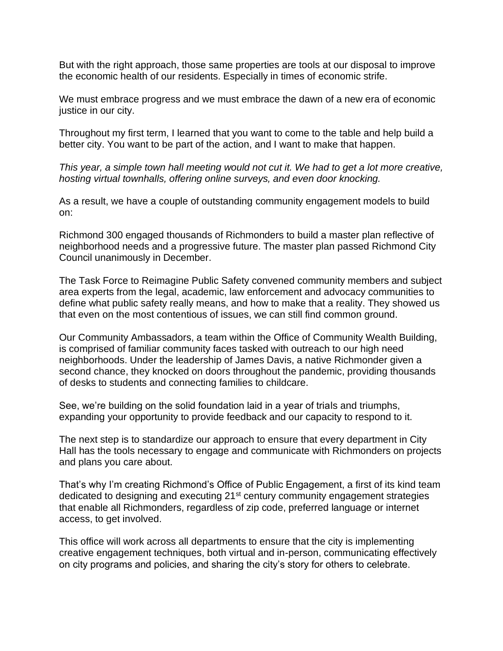But with the right approach, those same properties are tools at our disposal to improve the economic health of our residents. Especially in times of economic strife.

We must embrace progress and we must embrace the dawn of a new era of economic justice in our city.

Throughout my first term, I learned that you want to come to the table and help build a better city. You want to be part of the action, and I want to make that happen.

*This year, a simple town hall meeting would not cut it. We had to get a lot more creative, hosting virtual townhalls, offering online surveys, and even door knocking.*

As a result, we have a couple of outstanding community engagement models to build on:

Richmond 300 engaged thousands of Richmonders to build a master plan reflective of neighborhood needs and a progressive future. The master plan passed Richmond City Council unanimously in December.

The Task Force to Reimagine Public Safety convened community members and subject area experts from the legal, academic, law enforcement and advocacy communities to define what public safety really means, and how to make that a reality. They showed us that even on the most contentious of issues, we can still find common ground.

Our Community Ambassadors, a team within the Office of Community Wealth Building, is comprised of familiar community faces tasked with outreach to our high need neighborhoods. Under the leadership of James Davis, a native Richmonder given a second chance, they knocked on doors throughout the pandemic, providing thousands of desks to students and connecting families to childcare.

See, we're building on the solid foundation laid in a year of trials and triumphs, expanding your opportunity to provide feedback and our capacity to respond to it.

The next step is to standardize our approach to ensure that every department in City Hall has the tools necessary to engage and communicate with Richmonders on projects and plans you care about.

That's why I'm creating Richmond's Office of Public Engagement, a first of its kind team dedicated to designing and executing 21<sup>st</sup> century community engagement strategies that enable all Richmonders, regardless of zip code, preferred language or internet access, to get involved.

This office will work across all departments to ensure that the city is implementing creative engagement techniques, both virtual and in-person, communicating effectively on city programs and policies, and sharing the city's story for others to celebrate.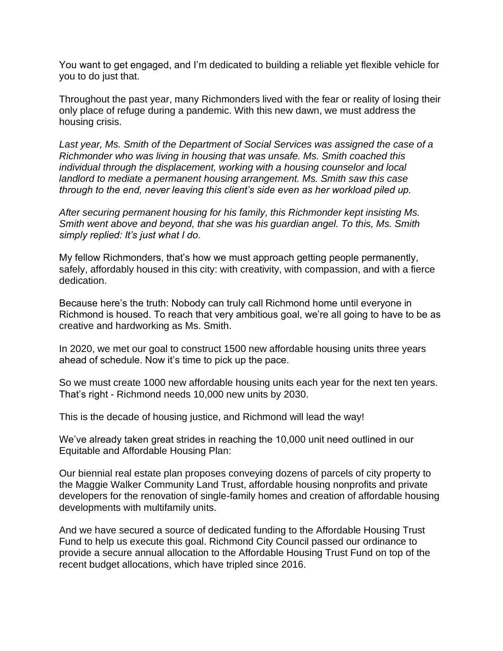You want to get engaged, and I'm dedicated to building a reliable yet flexible vehicle for you to do just that.

Throughout the past year, many Richmonders lived with the fear or reality of losing their only place of refuge during a pandemic. With this new dawn, we must address the housing crisis.

*Last year, Ms. Smith of the Department of Social Services was assigned the case of a Richmonder who was living in housing that was unsafe. Ms. Smith coached this individual through the displacement, working with a housing counselor and local landlord to mediate a permanent housing arrangement. Ms. Smith saw this case through to the end, never leaving this client's side even as her workload piled up.*

*After securing permanent housing for his family, this Richmonder kept insisting Ms. Smith went above and beyond, that she was his guardian angel. To this, Ms. Smith simply replied: It's just what I do.*

My fellow Richmonders, that's how we must approach getting people permanently, safely, affordably housed in this city: with creativity, with compassion, and with a fierce dedication.

Because here's the truth: Nobody can truly call Richmond home until everyone in Richmond is housed. To reach that very ambitious goal, we're all going to have to be as creative and hardworking as Ms. Smith.

In 2020, we met our goal to construct 1500 new affordable housing units three years ahead of schedule. Now it's time to pick up the pace.

So we must create 1000 new affordable housing units each year for the next ten years. That's right - Richmond needs 10,000 new units by 2030.

This is the decade of housing justice, and Richmond will lead the way!

We've already taken great strides in reaching the 10,000 unit need outlined in our Equitable and Affordable Housing Plan:

Our biennial real estate plan proposes conveying dozens of parcels of city property to the Maggie Walker Community Land Trust, affordable housing nonprofits and private developers for the renovation of single-family homes and creation of affordable housing developments with multifamily units.

And we have secured a source of dedicated funding to the Affordable Housing Trust Fund to help us execute this goal. Richmond City Council passed our ordinance to provide a secure annual allocation to the Affordable Housing Trust Fund on top of the recent budget allocations, which have tripled since 2016.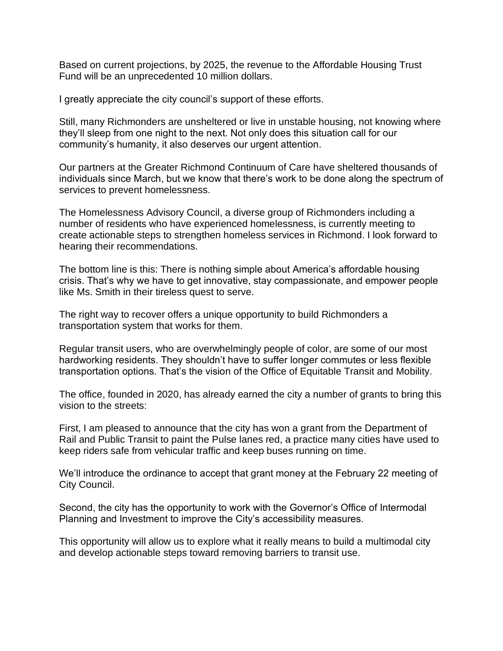Based on current projections, by 2025, the revenue to the Affordable Housing Trust Fund will be an unprecedented 10 million dollars.

I greatly appreciate the city council's support of these efforts.

Still, many Richmonders are unsheltered or live in unstable housing, not knowing where they'll sleep from one night to the next. Not only does this situation call for our community's humanity, it also deserves our urgent attention.

Our partners at the Greater Richmond Continuum of Care have sheltered thousands of individuals since March, but we know that there's work to be done along the spectrum of services to prevent homelessness.

The Homelessness Advisory Council, a diverse group of Richmonders including a number of residents who have experienced homelessness, is currently meeting to create actionable steps to strengthen homeless services in Richmond. I look forward to hearing their recommendations.

The bottom line is this: There is nothing simple about America's affordable housing crisis. That's why we have to get innovative, stay compassionate, and empower people like Ms. Smith in their tireless quest to serve.

The right way to recover offers a unique opportunity to build Richmonders a transportation system that works for them.

Regular transit users, who are overwhelmingly people of color, are some of our most hardworking residents. They shouldn't have to suffer longer commutes or less flexible transportation options. That's the vision of the Office of Equitable Transit and Mobility.

The office, founded in 2020, has already earned the city a number of grants to bring this vision to the streets:

First, I am pleased to announce that the city has won a grant from the Department of Rail and Public Transit to paint the Pulse lanes red, a practice many cities have used to keep riders safe from vehicular traffic and keep buses running on time.

We'll introduce the ordinance to accept that grant money at the February 22 meeting of City Council.

Second, the city has the opportunity to work with the Governor's Office of Intermodal Planning and Investment to improve the City's accessibility measures.

This opportunity will allow us to explore what it really means to build a multimodal city and develop actionable steps toward removing barriers to transit use.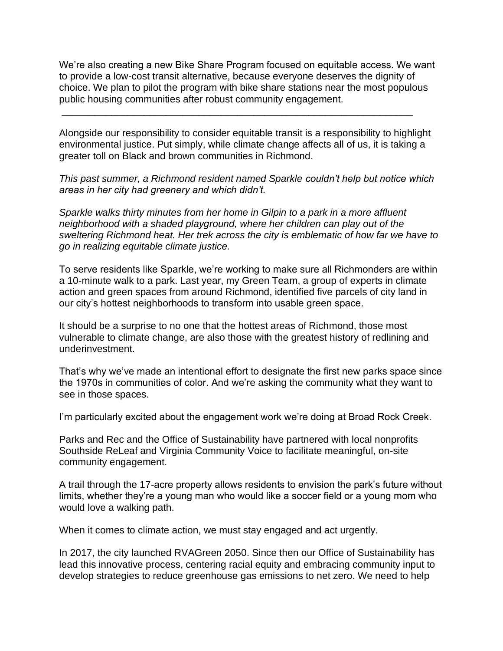We're also creating a new Bike Share Program focused on equitable access. We want to provide a low-cost transit alternative, because everyone deserves the dignity of choice. We plan to pilot the program with bike share stations near the most populous public housing communities after robust community engagement.

Alongside our responsibility to consider equitable transit is a responsibility to highlight environmental justice. Put simply, while climate change affects all of us, it is taking a greater toll on Black and brown communities in Richmond.

\_\_\_\_\_\_\_\_\_\_\_\_\_\_\_\_\_\_\_\_\_\_\_\_\_\_\_\_\_\_\_\_\_\_\_\_\_\_\_\_\_\_\_\_\_\_\_\_\_\_\_\_\_\_\_\_\_\_\_\_\_\_\_\_

*This past summer, a Richmond resident named Sparkle couldn't help but notice which areas in her city had greenery and which didn't.*

*Sparkle walks thirty minutes from her home in Gilpin to a park in a more affluent neighborhood with a shaded playground, where her children can play out of the sweltering Richmond heat. Her trek across the city is emblematic of how far we have to go in realizing equitable climate justice.*

To serve residents like Sparkle, we're working to make sure all Richmonders are within a 10-minute walk to a park. Last year, my Green Team, a group of experts in climate action and green spaces from around Richmond, identified five parcels of city land in our city's hottest neighborhoods to transform into usable green space.

It should be a surprise to no one that the hottest areas of Richmond, those most vulnerable to climate change, are also those with the greatest history of redlining and underinvestment.

That's why we've made an intentional effort to designate the first new parks space since the 1970s in communities of color. And we're asking the community what they want to see in those spaces.

I'm particularly excited about the engagement work we're doing at Broad Rock Creek.

Parks and Rec and the Office of Sustainability have partnered with local nonprofits Southside ReLeaf and Virginia Community Voice to facilitate meaningful, on-site community engagement.

A trail through the 17-acre property allows residents to envision the park's future without limits, whether they're a young man who would like a soccer field or a young mom who would love a walking path.

When it comes to climate action, we must stay engaged and act urgently.

In 2017, the city launched RVAGreen 2050. Since then our Office of Sustainability has lead this innovative process, centering racial equity and embracing community input to develop strategies to reduce greenhouse gas emissions to net zero. We need to help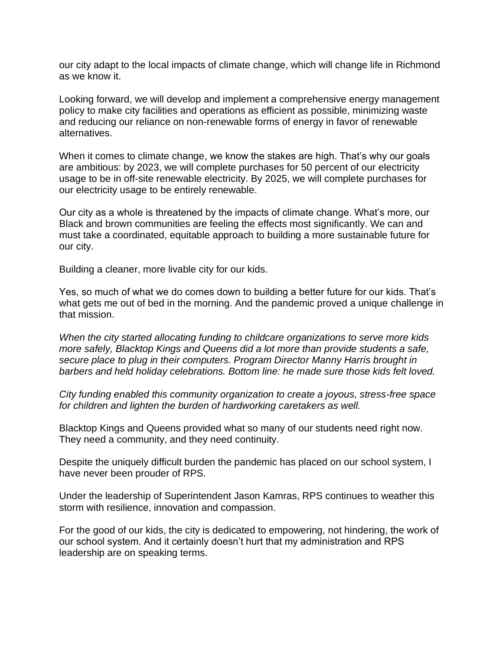our city adapt to the local impacts of climate change, which will change life in Richmond as we know it.

Looking forward, we will develop and implement a comprehensive energy management policy to make city facilities and operations as efficient as possible, minimizing waste and reducing our reliance on non-renewable forms of energy in favor of renewable alternatives.

When it comes to climate change, we know the stakes are high. That's why our goals are ambitious: by 2023, we will complete purchases for 50 percent of our electricity usage to be in off-site renewable electricity. By 2025, we will complete purchases for our electricity usage to be entirely renewable.

Our city as a whole is threatened by the impacts of climate change. What's more, our Black and brown communities are feeling the effects most significantly. We can and must take a coordinated, equitable approach to building a more sustainable future for our city.

Building a cleaner, more livable city for our kids.

Yes, so much of what we do comes down to building a better future for our kids. That's what gets me out of bed in the morning. And the pandemic proved a unique challenge in that mission.

*When the city started allocating funding to childcare organizations to serve more kids more safely, Blacktop Kings and Queens did a lot more than provide students a safe, secure place to plug in their computers. Program Director Manny Harris brought in barbers and held holiday celebrations. Bottom line: he made sure those kids felt loved.*

*City funding enabled this community organization to create a joyous, stress-free space for children and lighten the burden of hardworking caretakers as well.*

Blacktop Kings and Queens provided what so many of our students need right now. They need a community, and they need continuity.

Despite the uniquely difficult burden the pandemic has placed on our school system, I have never been prouder of RPS.

Under the leadership of Superintendent Jason Kamras, RPS continues to weather this storm with resilience, innovation and compassion.

For the good of our kids, the city is dedicated to empowering, not hindering, the work of our school system. And it certainly doesn't hurt that my administration and RPS leadership are on speaking terms.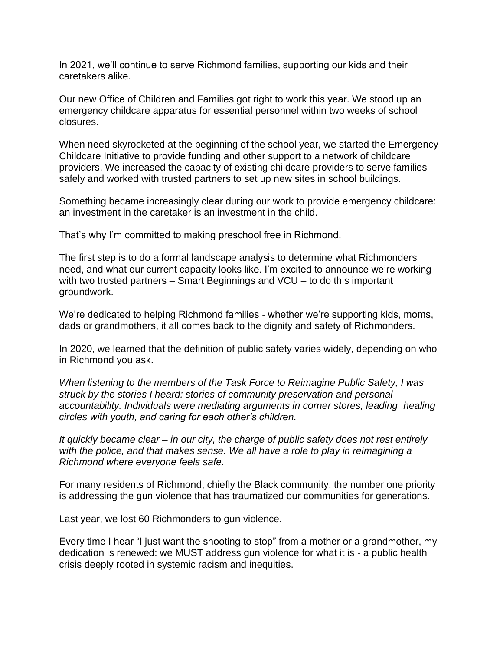In 2021, we'll continue to serve Richmond families, supporting our kids and their caretakers alike.

Our new Office of Children and Families got right to work this year. We stood up an emergency childcare apparatus for essential personnel within two weeks of school closures.

When need skyrocketed at the beginning of the school year, we started the Emergency Childcare Initiative to provide funding and other support to a network of childcare providers. We increased the capacity of existing childcare providers to serve families safely and worked with trusted partners to set up new sites in school buildings.

Something became increasingly clear during our work to provide emergency childcare: an investment in the caretaker is an investment in the child.

That's why I'm committed to making preschool free in Richmond.

The first step is to do a formal landscape analysis to determine what Richmonders need, and what our current capacity looks like. I'm excited to announce we're working with two trusted partners – Smart Beginnings and VCU – to do this important groundwork.

We're dedicated to helping Richmond families - whether we're supporting kids, moms, dads or grandmothers, it all comes back to the dignity and safety of Richmonders.

In 2020, we learned that the definition of public safety varies widely, depending on who in Richmond you ask.

*When listening to the members of the Task Force to Reimagine Public Safety, I was struck by the stories I heard: stories of community preservation and personal accountability. Individuals were mediating arguments in corner stores, leading healing circles with youth, and caring for each other's children.*

*It quickly became clear – in our city, the charge of public safety does not rest entirely with the police, and that makes sense. We all have a role to play in reimagining a Richmond where everyone feels safe.*

For many residents of Richmond, chiefly the Black community, the number one priority is addressing the gun violence that has traumatized our communities for generations.

Last year, we lost 60 Richmonders to gun violence.

Every time I hear "I just want the shooting to stop" from a mother or a grandmother, my dedication is renewed: we MUST address gun violence for what it is - a public health crisis deeply rooted in systemic racism and inequities.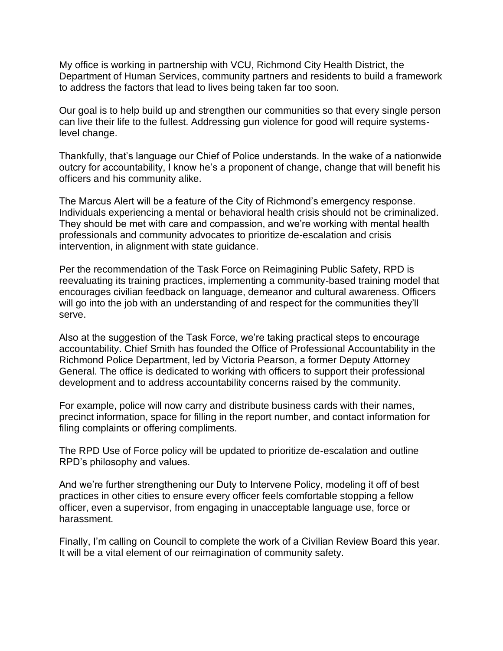My office is working in partnership with VCU, Richmond City Health District, the Department of Human Services, community partners and residents to build a framework to address the factors that lead to lives being taken far too soon.

Our goal is to help build up and strengthen our communities so that every single person can live their life to the fullest. Addressing gun violence for good will require systemslevel change.

Thankfully, that's language our Chief of Police understands. In the wake of a nationwide outcry for accountability, I know he's a proponent of change, change that will benefit his officers and his community alike.

The Marcus Alert will be a feature of the City of Richmond's emergency response. Individuals experiencing a mental or behavioral health crisis should not be criminalized. They should be met with care and compassion, and we're working with mental health professionals and community advocates to prioritize de-escalation and crisis intervention, in alignment with state guidance.

Per the recommendation of the Task Force on Reimagining Public Safety, RPD is reevaluating its training practices, implementing a community-based training model that encourages civilian feedback on language, demeanor and cultural awareness. Officers will go into the job with an understanding of and respect for the communities they'll serve.

Also at the suggestion of the Task Force, we're taking practical steps to encourage accountability. Chief Smith has founded the Office of Professional Accountability in the Richmond Police Department, led by Victoria Pearson, a former Deputy Attorney General. The office is dedicated to working with officers to support their professional development and to address accountability concerns raised by the community.

For example, police will now carry and distribute business cards with their names, precinct information, space for filling in the report number, and contact information for filing complaints or offering compliments.

The RPD Use of Force policy will be updated to prioritize de-escalation and outline RPD's philosophy and values.

And we're further strengthening our Duty to Intervene Policy, modeling it off of best practices in other cities to ensure every officer feels comfortable stopping a fellow officer, even a supervisor, from engaging in unacceptable language use, force or harassment.

Finally, I'm calling on Council to complete the work of a Civilian Review Board this year. It will be a vital element of our reimagination of community safety.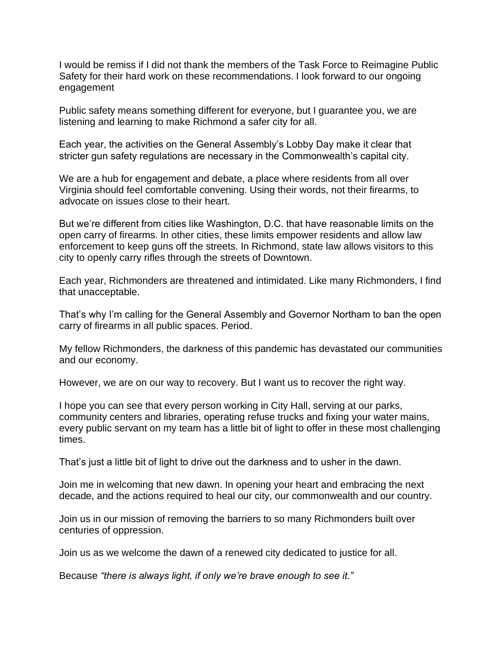I would be remiss if I did not thank the members of the Task Force to Reimagine Public Safety for their hard work on these recommendations. I look forward to our ongoing engagement

Public safety means something different for everyone, but I guarantee you, we are listening and learning to make Richmond a safer city for all.

Each year, the activities on the General Assembly's Lobby Day make it clear that stricter gun safety regulations are necessary in the Commonwealth's capital city.

We are a hub for engagement and debate, a place where residents from all over Virginia should feel comfortable convening. Using their words, not their firearms, to advocate on issues close to their heart.

But we're different from cities like Washington, D.C. that have reasonable limits on the open carry of firearms. In other cities, these limits empower residents and allow law enforcement to keep guns off the streets. In Richmond, state law allows visitors to this city to openly carry rifles through the streets of Downtown.

Each year, Richmonders are threatened and intimidated. Like many Richmonders, I find that unacceptable.

That's why I'm calling for the General Assembly and Governor Northam to ban the open carry of firearms in all public spaces. Period.

My fellow Richmonders, the darkness of this pandemic has devastated our communities and our economy.

However, we are on our way to recovery. But I want us to recover the right way.

I hope you can see that every person working in City Hall, serving at our parks, community centers and libraries, operating refuse trucks and fixing your water mains, every public servant on my team has a little bit of light to offer in these most challenging times.

That's just a little bit of light to drive out the darkness and to usher in the dawn.

Join me in welcoming that new dawn. In opening your heart and embracing the next decade, and the actions required to heal our city, our commonwealth and our country.

Join us in our mission of removing the barriers to so many Richmonders built over centuries of oppression.

Join us as we welcome the dawn of a renewed city dedicated to justice for all.

Because *"there is always light, if only we're brave enough to see it."*